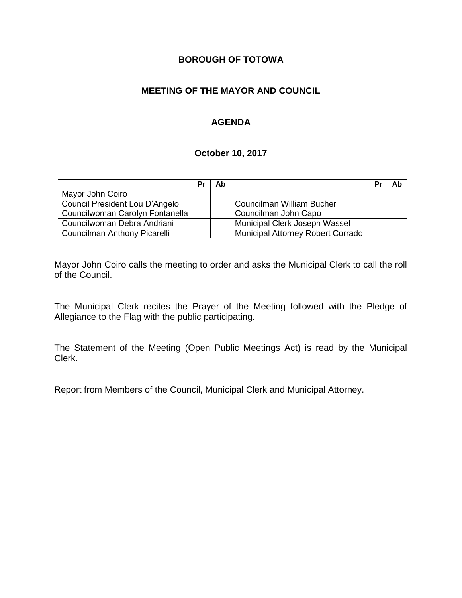# **BOROUGH OF TOTOWA**

# **MEETING OF THE MAYOR AND COUNCIL**

# **AGENDA**

#### **October 10, 2017**

|                                 | Pr | Ab |                                          | Pr | Ab |
|---------------------------------|----|----|------------------------------------------|----|----|
| Mayor John Coiro                |    |    |                                          |    |    |
| Council President Lou D'Angelo  |    |    | Councilman William Bucher                |    |    |
| Councilwoman Carolyn Fontanella |    |    | Councilman John Capo                     |    |    |
| Councilwoman Debra Andriani     |    |    | Municipal Clerk Joseph Wassel            |    |    |
| Councilman Anthony Picarelli    |    |    | <b>Municipal Attorney Robert Corrado</b> |    |    |

Mayor John Coiro calls the meeting to order and asks the Municipal Clerk to call the roll of the Council.

The Municipal Clerk recites the Prayer of the Meeting followed with the Pledge of Allegiance to the Flag with the public participating.

The Statement of the Meeting (Open Public Meetings Act) is read by the Municipal Clerk.

Report from Members of the Council, Municipal Clerk and Municipal Attorney.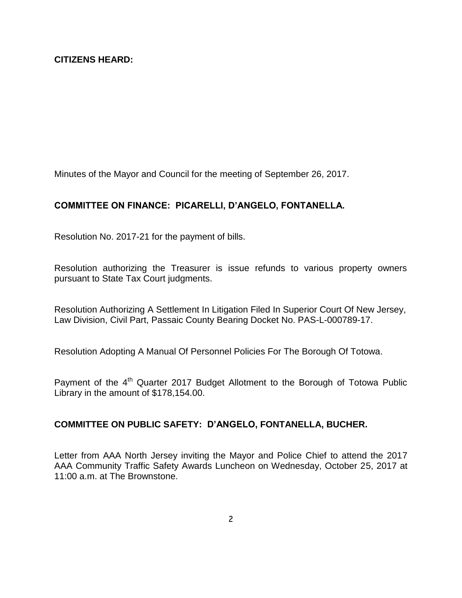Minutes of the Mayor and Council for the meeting of September 26, 2017.

# **COMMITTEE ON FINANCE: PICARELLI, D'ANGELO, FONTANELLA.**

Resolution No. 2017-21 for the payment of bills.

Resolution authorizing the Treasurer is issue refunds to various property owners pursuant to State Tax Court judgments.

Resolution Authorizing A Settlement In Litigation Filed In Superior Court Of New Jersey, Law Division, Civil Part, Passaic County Bearing Docket No. PAS-L-000789-17.

Resolution Adopting A Manual Of Personnel Policies For The Borough Of Totowa.

Payment of the 4<sup>th</sup> Quarter 2017 Budget Allotment to the Borough of Totowa Public Library in the amount of \$178,154.00.

#### **COMMITTEE ON PUBLIC SAFETY: D'ANGELO, FONTANELLA, BUCHER.**

Letter from AAA North Jersey inviting the Mayor and Police Chief to attend the 2017 AAA Community Traffic Safety Awards Luncheon on Wednesday, October 25, 2017 at 11:00 a.m. at The Brownstone.